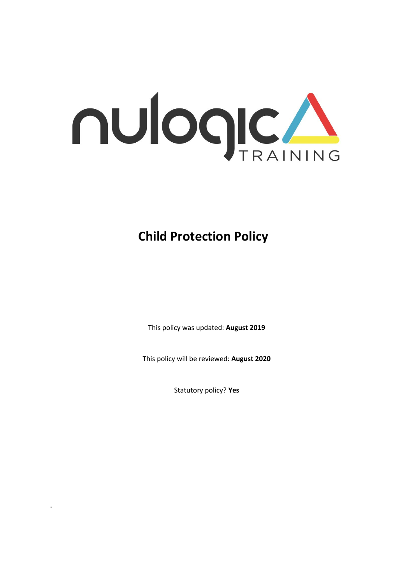

**Child Protection Policy**

This policy was updated: **August 2019**

This policy will be reviewed: **August 2020**

Statutory policy? **Yes**

.